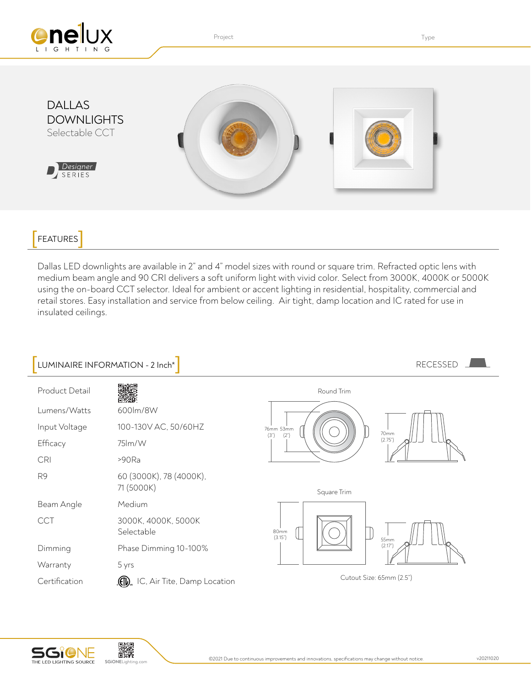

Project **Type Internal Contract Contract Contract Contract Contract Contract Contract Contract Contract Contract Contract Contract Contract Contract Contract Contract Contract Contract Contract Contract Contract Contract C** 



## **FEATURES**

Dallas LED downlights are available in 2" and 4" model sizes with round or square trim. Refracted optic lens with medium beam angle and 90 CRI delivers a soft uniform light with vivid color. Select from 3000K, 4000K or 5000K using the on-board CCT selector. Ideal for ambient or accent lighting in residential, hospitality, commercial and retail stores. Easy installation and service from below ceiling. Air tight, damp location and IC rated for use in insulated ceilings.